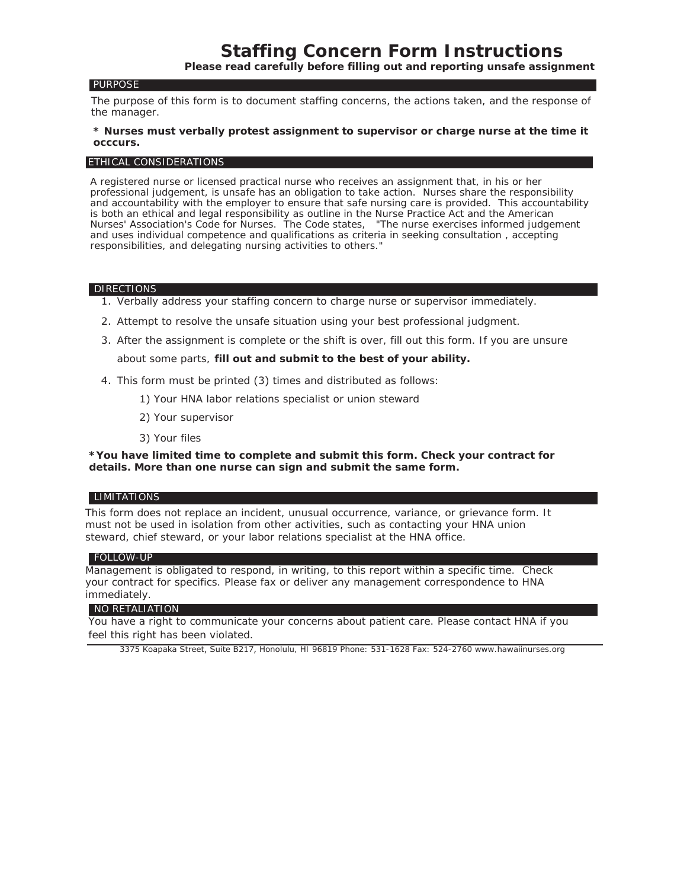#### PURPOSE

The purpose of this form is to document staffing concerns, the actions taken, and the response of the manager.

### **\* Nurses must verbally protest assignment to supervisor or charge nurse at the time it occcurs.**

### ETHICAL CONSIDERATIONS

A registered nurse or licensed practical nurse who receives an assignment that, in his or her professional judgement, is unsafe has an obligation to take action. Nurses share the responsibility and accountability with the employer to ensure that safe nursing care is provided. This accountability is both an ethical and legal responsibility as outline in the Nurse Practice Act and the American Nurses' Association's C*ode for Nurses.* The *Code* states, "The nurse exercises informed judgement and uses individual competence and qualifications as criteria in seeking consultation , accepting responsibilities, and delegating nursing activities to others."

#### **DIRECTIONS**

- 1. Verbally address your staffing concern to charge nurse or supervisor immediately.
- 2. Attempt to resolve the unsafe situation using your best professional judgment.
- 3. After the assignment is complete or the shift is over, fill out this form. If you are unsure about some parts, **fill out and submit to the best of your ability.**
- 4. This form must be printed (3) times and distributed as follows:
	- 1) Your HNA labor relations specialist or union steward
	- 2) Your supervisor
	- 3) Your files

**\*You have limited time to complete and submit this form. Check your contract for details. More than one nurse can sign and submit the same form.**

### **LIMITATIONS**

This form does not replace an incident, unusual occurrence, variance, or grievance form. It must not be used in isolation from other activities, such as contacting your HNA union steward, chief steward, or your labor relations specialist at the HNA office.

### FOLLOW-UP

Management is obligated to respond, in writing, to this report within a specific time. Check your contract for specifics. Please fax or deliver any management correspondence to HNA immediately.

## NO RETALIATION

You have a right to communicate your concerns about patient care. Please contact HNA if you feel this right has been violated.

3375 Koapaka Street, Suite B217, Honolulu, HI 96819 Phone: 531-1628 Fax: 524-2760 www.hawaiinurses.org